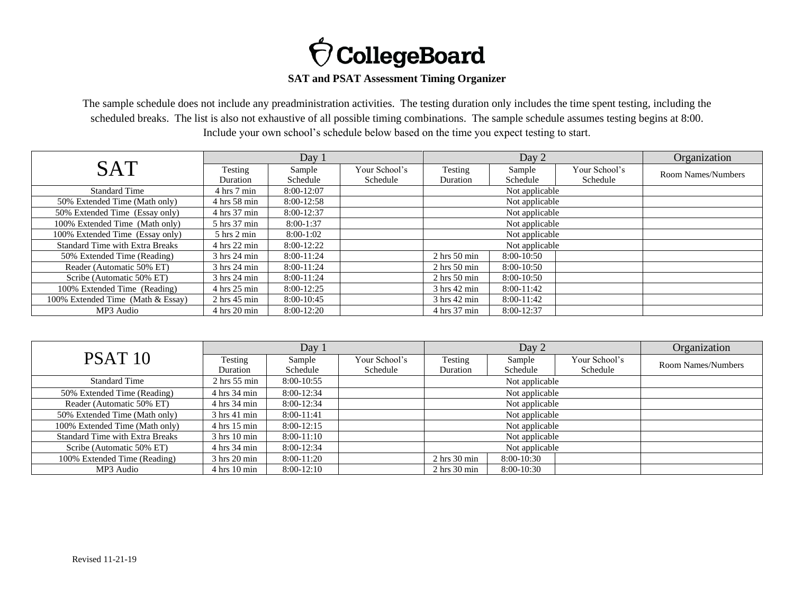

## **SAT and PSAT Assessment Timing Organizer**

The sample schedule does not include any preadministration activities. The testing duration only includes the time spent testing, including the scheduled breaks. The list is also not exhaustive of all possible timing combinations. The sample schedule assumes testing begins at 8:00. Include your own school's schedule below based on the time you expect testing to start.

| <b>SAT</b>                             | Day 1                           |                    |                           | Day 2                           |                    |                           | Organization              |
|----------------------------------------|---------------------------------|--------------------|---------------------------|---------------------------------|--------------------|---------------------------|---------------------------|
|                                        | Testing<br>Duration             | Sample<br>Schedule | Your School's<br>Schedule | Testing<br>Duration             | Sample<br>Schedule | Your School's<br>Schedule | <b>Room Names/Numbers</b> |
| <b>Standard Time</b>                   | $4 \text{ hrs} 7 \text{ min}$   | 8:00-12:07         |                           |                                 | Not applicable     |                           |                           |
| 50% Extended Time (Math only)          | 4 hrs 58 min                    | 8:00-12:58         |                           |                                 | Not applicable     |                           |                           |
| 50% Extended Time (Essay only)         | 4 hrs 37 min                    | 8:00-12:37         |                           |                                 | Not applicable     |                           |                           |
| 100% Extended Time (Math only)         | 5 hrs 37 min                    | $8:00-1:37$        |                           | Not applicable                  |                    |                           |                           |
| 100% Extended Time (Essay only)        | $5 \text{ hrs } 2 \text{ min}$  | $8:00-1:02$        |                           | Not applicable                  |                    |                           |                           |
| <b>Standard Time with Extra Breaks</b> | $4 \text{ hrs} 22 \text{ min}$  | $8:00-12:22$       |                           | Not applicable                  |                    |                           |                           |
| 50% Extended Time (Reading)            | 3 hrs 24 min                    | $8:00-11:24$       |                           | $2 \text{ hrs } 50 \text{ min}$ | $8:00-10:50$       |                           |                           |
| Reader (Automatic 50% ET)              | $3 \text{ hrs} 24 \text{ min}$  | $8:00-11:24$       |                           | $2 \text{ hrs} 50 \text{ min}$  | 8:00-10:50         |                           |                           |
| Scribe (Automatic 50% ET)              | 3 hrs 24 min                    | $8:00-11:24$       |                           | $2 \text{ hrs } 50 \text{ min}$ | $8:00-10:50$       |                           |                           |
| 100% Extended Time (Reading)           | $4 \text{ hrs} 25 \text{ min}$  | 8:00-12:25         |                           | $3 \text{ hrs } 42 \text{ min}$ | $8:00-11:42$       |                           |                           |
| 100% Extended Time (Math & Essay)      | $2 \text{ hrs } 45 \text{ min}$ | 8:00-10:45         |                           | 3 hrs 42 min                    | $8:00-11:42$       |                           |                           |
| MP3 Audio                              | $4 \text{ hrs } 20 \text{ min}$ | 8:00-12:20         |                           | 4 hrs 37 min                    | 8:00-12:37         |                           |                           |

|                                        | Day 1                           |              |               | Day 2                           |              |               | Organization       |
|----------------------------------------|---------------------------------|--------------|---------------|---------------------------------|--------------|---------------|--------------------|
| PSAT <sub>10</sub>                     | Testing                         | Sample       | Your School's | Testing                         | Sample       | Your School's | Room Names/Numbers |
|                                        | Duration                        | Schedule     | Schedule      | Duration                        | Schedule     | Schedule      |                    |
| <b>Standard Time</b>                   | $2 \text{ hrs} 55 \text{ min}$  | $8:00-10:55$ |               | Not applicable                  |              |               |                    |
| 50% Extended Time (Reading)            | $4 \text{ hrs} 34 \text{ min}$  | $8:00-12:34$ |               | Not applicable                  |              |               |                    |
| Reader (Automatic 50% ET)              | $4 \text{ hrs} 34 \text{ min}$  | $8:00-12:34$ |               | Not applicable                  |              |               |                    |
| 50% Extended Time (Math only)          | $3 \text{ hrs } 41 \text{ min}$ | $8:00-11:41$ |               | Not applicable                  |              |               |                    |
| 100% Extended Time (Math only)         | $4 \text{ hrs} 15 \text{ min}$  | $8:00-12:15$ |               | Not applicable                  |              |               |                    |
| <b>Standard Time with Extra Breaks</b> | $3 \text{ hrs} 10 \text{ min}$  | $8:00-11:10$ |               | Not applicable                  |              |               |                    |
| Scribe (Automatic 50% ET)              | 4 hrs 34 min                    | $8:00-12:34$ |               | Not applicable                  |              |               |                    |
| 100% Extended Time (Reading)           | $3 \text{ hrs} 20 \text{ min}$  | $8:00-11:20$ |               | $2 \text{ hrs } 30 \text{ min}$ | $8:00-10:30$ |               |                    |
| MP3 Audio                              | $4 \text{ hrs } 10 \text{ min}$ | $8:00-12:10$ |               | $2 \text{ hrs } 30 \text{ min}$ | $8:00-10:30$ |               |                    |